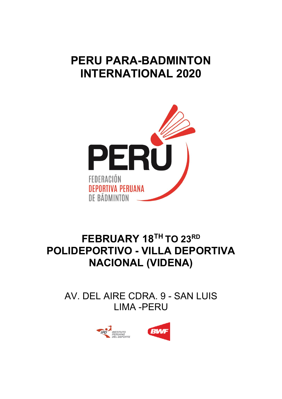# **PERU PARA-BADMINTON INTERNATIONAL 2020**



# **FEBRUARY 18TH TO 23RD POLIDEPORTIVO - VILLA DEPORTIVA NACIONAL (VIDENA)**

AV. DEL AIRE CDRA. 9 - SAN LUIS LIMA -PERU



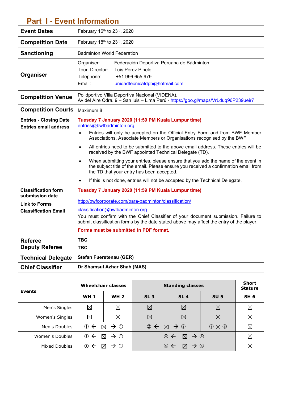### **Part I - Event Information**

| <b>Event Dates</b>                                                                                   | February 16th to 23rd, 2020                                                                                                                                                                                                                                                                                                                                                                                                                                                                                                                                                                                                                                                                                                                 |  |  |
|------------------------------------------------------------------------------------------------------|---------------------------------------------------------------------------------------------------------------------------------------------------------------------------------------------------------------------------------------------------------------------------------------------------------------------------------------------------------------------------------------------------------------------------------------------------------------------------------------------------------------------------------------------------------------------------------------------------------------------------------------------------------------------------------------------------------------------------------------------|--|--|
| <b>Competition Date</b>                                                                              | February 18th to 23rd, 2020                                                                                                                                                                                                                                                                                                                                                                                                                                                                                                                                                                                                                                                                                                                 |  |  |
| Sanctioning                                                                                          | <b>Badminton World Federation</b>                                                                                                                                                                                                                                                                                                                                                                                                                                                                                                                                                                                                                                                                                                           |  |  |
| Organiser                                                                                            | Federación Deportiva Peruana de Bádminton<br>Organiser:<br>Tour. Director:<br>Luis Pérez Pinelo<br>Telephone:<br>+51 996 655 979<br>Email:<br>unidadtecnicafdpb@hotmail.com                                                                                                                                                                                                                                                                                                                                                                                                                                                                                                                                                                 |  |  |
| <b>Competition Venue</b>                                                                             | Polidportivo Villa Deportiva Nacional (VIDENA),<br>Av del Aire Cdra. 9 - San Iuis - Lima Perú - https://goo.gl/maps/VrLduq96P239ueir7                                                                                                                                                                                                                                                                                                                                                                                                                                                                                                                                                                                                       |  |  |
| <b>Competition Courts</b>                                                                            | Maximum 8                                                                                                                                                                                                                                                                                                                                                                                                                                                                                                                                                                                                                                                                                                                                   |  |  |
| <b>Entries - Closing Date</b><br><b>Entries email address</b>                                        | Tuesday 7 January 2020 (11:59 PM Kuala Lumpur time)<br>entries@bwfbadminton.org<br>Entries will only be accepted on the Official Entry Form and from BWF Member<br>$\bullet$<br>Associations, Associate Members or Organisations recognised by the BWF.<br>All entries need to be submitted to the above email address. These entries will be<br>$\bullet$<br>received by the BWF appointed Technical Delegate (TD).<br>When submitting your entries, please ensure that you add the name of the event in<br>$\bullet$<br>the subject title of the email. Please ensure you received a confirmation email from<br>the TD that your entry has been accepted.<br>If this is not done, entries will not be accepted by the Technical Delegate. |  |  |
| <b>Classification form</b><br>submission date<br><b>Link to Forms</b><br><b>Classification Email</b> | Tuesday 7 January 2020 (11:59 PM Kuala Lumpur time)<br>http://bwfcorporate.com/para-badminton/classification/<br>classification@bwfbadminton.org<br>You must confirm with the Chief Classifier of your document submission. Failure to<br>submit classification forms by the date stated above may affect the entry of the player.<br>Forms must be submitted in PDF format.                                                                                                                                                                                                                                                                                                                                                                |  |  |
| <b>Referee</b>                                                                                       | <b>TBC</b>                                                                                                                                                                                                                                                                                                                                                                                                                                                                                                                                                                                                                                                                                                                                  |  |  |
| <b>Deputy Referee</b>                                                                                | <b>TBC</b>                                                                                                                                                                                                                                                                                                                                                                                                                                                                                                                                                                                                                                                                                                                                  |  |  |
| <b>Technical Delegate</b>                                                                            | <b>Stefan Fuerstenau (GER)</b>                                                                                                                                                                                                                                                                                                                                                                                                                                                                                                                                                                                                                                                                                                              |  |  |
| <b>Chief Classifier</b>                                                                              | Dr Shamsul Azhar Shah (MAS)                                                                                                                                                                                                                                                                                                                                                                                                                                                                                                                                                                                                                                                                                                                 |  |  |

|                 | <b>Wheelchair classes</b> |                                | <b>Standing classes</b>     |                                                                         |                     | <b>Short</b><br><b>Stature</b> |
|-----------------|---------------------------|--------------------------------|-----------------------------|-------------------------------------------------------------------------|---------------------|--------------------------------|
| <b>Events</b>   | <b>WH 1</b>               | <b>WH 2</b>                    | SL <sub>3</sub>             | SL <sub>4</sub>                                                         | <b>SU 5</b>         | SH <sub>6</sub>                |
| Men's Singles   | $\boxtimes$               | $\boxtimes$                    | $\boxtimes$                 | $\boxtimes$                                                             | $\boxtimes$         | $\boxtimes$                    |
| Women's Singles | $\boxtimes$               | $\boxtimes$                    | $\boxtimes$                 | ⊠                                                                       | $\boxtimes$         | $\boxtimes$                    |
| Men's Doubles   | $\odot$ $\leftarrow$      | $\rightarrow$ 0<br>$\boxtimes$ | $\circledcirc$ $\leftarrow$ | $\boxtimes$ $\rightarrow$ 2                                             | $O$ $\boxtimes$ $O$ | ⊠                              |
| Women's Doubles | $\circledcirc$            | $\rightarrow$ 0<br>⊠           |                             | $\boxtimes$ $\rightarrow$ $\circledcirc$<br>$\circledcirc$ $\leftarrow$ |                     | $\boxtimes$                    |
| Mixed Doubles   | (1)<br>⋉                  | (1)<br>$\rightarrow$           |                             | $\rightarrow$ $\circledcirc$<br>$\bowtie$<br>$(4) \leftarrow$           |                     | $\boxtimes$                    |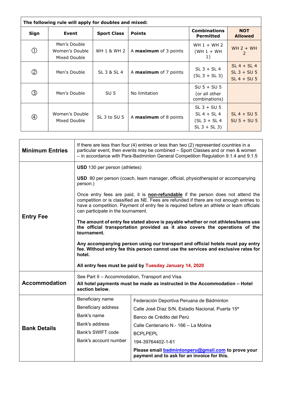| The following rule will apply for doubles and mixed: |                                                |                    |                              |                                                                    |                                                 |
|------------------------------------------------------|------------------------------------------------|--------------------|------------------------------|--------------------------------------------------------------------|-------------------------------------------------|
| Sign                                                 | Event                                          | <b>Sport Class</b> | <b>Points</b>                | <b>Combinations</b><br><b>Permitted</b>                            | <b>NOT</b><br><b>Allowed</b>                    |
| $\circled{0}$                                        | Men's Double<br>Women's Double<br>Mixed Double | WH 1 & WH 2        | A <b>maximum</b> of 3 points | WH $1 + WH$ 2<br>$(WH 1 + WH)$<br>1)                               | $WH 2 + WH$<br>2                                |
| Ø                                                    | Men's Double                                   | SL 3 & SL 4        | A <b>maximum</b> of 7 points | $SL$ 3 + $SL$ 4<br>$(SL 3 + SL 3)$                                 | $SL 4 + SL 4$<br>$SL$ 3 + SU 5<br>$SL 4 + SU 5$ |
| ③                                                    | Men's Double                                   | SU <sub>5</sub>    | No limitation                | $SU 5 + SU 5$<br>(or all other<br>combinations)                    |                                                 |
| $^{\circledR}$                                       | Women's Double<br>Mixed Double                 | SL 3 to SU 5       | A maximum of 8 points        | $SL$ 3 + SU 5<br>$SL 4 + SL 4$<br>$(SL 3 + SL 4)$<br>$SL 3 + SL 3$ | $SL 4 + SU 5$<br>$SU 5 + SU 5$                  |

| <b>Minimum Entries</b> | If there are less than four (4) entries or less than two (2) represented countries in a<br>particular event, then events may be combined - Sport Classes and or men & women<br>- in accordance with Para-Badminton General Competition Regulation 9.1.4 and 9.1.5                                                     |                                                                                                          |  |  |
|------------------------|-----------------------------------------------------------------------------------------------------------------------------------------------------------------------------------------------------------------------------------------------------------------------------------------------------------------------|----------------------------------------------------------------------------------------------------------|--|--|
|                        | <b>USD</b> 130 per person (athletes)                                                                                                                                                                                                                                                                                  |                                                                                                          |  |  |
|                        | <b>USD</b> 80 per person (coach, team manager, official, physiotherapist or accompanying<br>person.)                                                                                                                                                                                                                  |                                                                                                          |  |  |
| <b>Entry Fee</b>       | Once entry fees are paid, it is <b>non-refundable</b> if the person does not attend the<br>competition or is classified as NE. Fees are refunded if there are not enough entries to<br>have a competition. Payment of entry fee is required before an athlete or team officials<br>can participate in the tournament. |                                                                                                          |  |  |
|                        | The amount of entry fee stated above is payable whether or not athletes/teams use<br>the official transportation provided as it also covers the operations of the<br>tournament.                                                                                                                                      |                                                                                                          |  |  |
|                        | Any accompanying person using our transport and official hotels must pay entry<br>fee. Without entry fee this person cannot use the services and exclusive rates for<br>hotel.                                                                                                                                        |                                                                                                          |  |  |
|                        | All entry fees must be paid by Tuesday January 14, 2020                                                                                                                                                                                                                                                               |                                                                                                          |  |  |
| <b>Accommodation</b>   | See Part II - Accommodation, Transport and Visa.<br>All hotel payments must be made as instructed in the Accommodation - Hotel<br>section below.                                                                                                                                                                      |                                                                                                          |  |  |
|                        | Beneficiary name                                                                                                                                                                                                                                                                                                      | Federación Deportiva Peruana de Bádminton                                                                |  |  |
|                        | Beneficiary address                                                                                                                                                                                                                                                                                                   | Calle José Díaz S/N, Estadio Nacional, Puerta 15 <sup>a</sup>                                            |  |  |
| <b>Bank Details</b>    | Bank's name                                                                                                                                                                                                                                                                                                           | Banco de Crédito del Perú                                                                                |  |  |
|                        | Bank's address                                                                                                                                                                                                                                                                                                        | Calle Centenario N.- 166 - La Molina                                                                     |  |  |
|                        | Bank's SWIFT code                                                                                                                                                                                                                                                                                                     | <b>BCPI PEPL</b>                                                                                         |  |  |
|                        | Bank's account number                                                                                                                                                                                                                                                                                                 | 194-39764402-1-61                                                                                        |  |  |
|                        |                                                                                                                                                                                                                                                                                                                       | Please email <b>badmintonperu@gmail.com</b> to prove your<br>payment and to ask for an invoice for this. |  |  |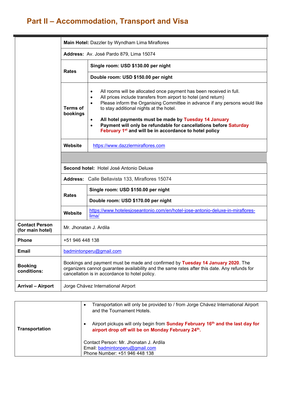## **Part II – Accommodation, Transport and Visa**

|                                           | Main Hotel: Dazzler by Wyndham Lima Miraflores                                                                                                                                                                                    |                                                                                                                                                                                                                                                                                                                                                                                                                                                                                                                                       |  |  |  |
|-------------------------------------------|-----------------------------------------------------------------------------------------------------------------------------------------------------------------------------------------------------------------------------------|---------------------------------------------------------------------------------------------------------------------------------------------------------------------------------------------------------------------------------------------------------------------------------------------------------------------------------------------------------------------------------------------------------------------------------------------------------------------------------------------------------------------------------------|--|--|--|
|                                           | Address: Av. José Pardo 879, Lima 15074                                                                                                                                                                                           |                                                                                                                                                                                                                                                                                                                                                                                                                                                                                                                                       |  |  |  |
|                                           | <b>Rates</b>                                                                                                                                                                                                                      | Single room: USD \$130.00 per night                                                                                                                                                                                                                                                                                                                                                                                                                                                                                                   |  |  |  |
|                                           |                                                                                                                                                                                                                                   | Double room: USD \$150.00 per night                                                                                                                                                                                                                                                                                                                                                                                                                                                                                                   |  |  |  |
|                                           | <b>Terms of</b><br>bookings                                                                                                                                                                                                       | All rooms will be allocated once payment has been received in full.<br>$\bullet$<br>All prices include transfers from airport to hotel (and return)<br>$\bullet$<br>Please inform the Organising Committee in advance if any persons would like<br>$\bullet$<br>to stay additional nights at the hotel.<br>All hotel payments must be made by Tuesday 14 January<br>$\bullet$<br>Payment will only be refundable for cancellations before Saturday<br>$\bullet$<br>February 1 <sup>st</sup> and will be in accordance to hotel policy |  |  |  |
|                                           | Website                                                                                                                                                                                                                           | https://www.dazzlermiraflores.com                                                                                                                                                                                                                                                                                                                                                                                                                                                                                                     |  |  |  |
|                                           |                                                                                                                                                                                                                                   |                                                                                                                                                                                                                                                                                                                                                                                                                                                                                                                                       |  |  |  |
|                                           | Second hotel: Hotel José Antonio Deluxe                                                                                                                                                                                           |                                                                                                                                                                                                                                                                                                                                                                                                                                                                                                                                       |  |  |  |
|                                           | <b>Address:</b> Calle Bellavista 133, Miraflores 15074                                                                                                                                                                            |                                                                                                                                                                                                                                                                                                                                                                                                                                                                                                                                       |  |  |  |
|                                           | <b>Rates</b>                                                                                                                                                                                                                      | Single room: USD \$150.00 per night                                                                                                                                                                                                                                                                                                                                                                                                                                                                                                   |  |  |  |
|                                           |                                                                                                                                                                                                                                   | Double room: USD \$170.00 per night                                                                                                                                                                                                                                                                                                                                                                                                                                                                                                   |  |  |  |
|                                           | Website                                                                                                                                                                                                                           | https://www.hotelesjoseantonio.com/en/hotel-jose-antonio-deluxe-in-miraflores-<br>lima/                                                                                                                                                                                                                                                                                                                                                                                                                                               |  |  |  |
| <b>Contact Person</b><br>(for main hotel) | Mr. Jhonatan J. Ardila                                                                                                                                                                                                            |                                                                                                                                                                                                                                                                                                                                                                                                                                                                                                                                       |  |  |  |
| <b>Phone</b>                              | +51 946 448 138                                                                                                                                                                                                                   |                                                                                                                                                                                                                                                                                                                                                                                                                                                                                                                                       |  |  |  |
| <b>Email</b>                              | badmintonperu@gmail.com                                                                                                                                                                                                           |                                                                                                                                                                                                                                                                                                                                                                                                                                                                                                                                       |  |  |  |
| <b>Booking</b><br>conditions:             | Bookings and payment must be made and confirmed by Tuesday 14 January 2020. The<br>organizers cannot guarantee availability and the same rates after this date. Any refunds for<br>cancellation is in accordance to hotel policy. |                                                                                                                                                                                                                                                                                                                                                                                                                                                                                                                                       |  |  |  |
| <b>Arrival - Airport</b>                  | Jorge Chávez International Airport                                                                                                                                                                                                |                                                                                                                                                                                                                                                                                                                                                                                                                                                                                                                                       |  |  |  |

|                | Transportation will only be provided to / from Jorge Chávez International Airport<br>and the Tournament Hotels.                                 |
|----------------|-------------------------------------------------------------------------------------------------------------------------------------------------|
| Transportation | Airport pickups will only begin from Sunday February 16 <sup>th</sup> and the last day for<br>airport drop off will be on Monday February 24th. |
|                | Contact Person: Mr. Jhonatan J. Ardila<br>Email: badmintonperu@gmail.com<br>Phone Number: +51 946 448 138                                       |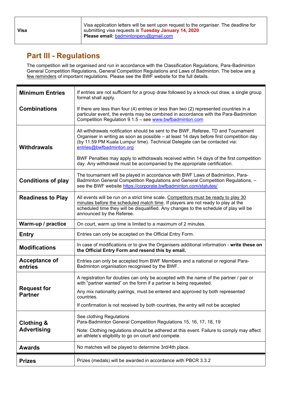**Visa**

Visa application letters will be sent upon request to the organiser. The deadline for submitting visa requests is **Tuesday January 14, 2020 Please email:** [badmintonperu@gmail.com](mailto:badmintonperu@gmail.com)

### **Part III - Regulations**

The competition will be organised and run in accordance with the Classification Regulations, Para-Badminton General Competition Regulations, General Competition Regulations and Laws of Badminton. The below are a few reminders of important regulations. Please see the BWF website for the full details.

| <b>Minimum Entries</b>               | If entries are not sufficient for a group draw followed by a knock-out draw, a single group<br>format shall apply.                                                                                                                                                                            |
|--------------------------------------|-----------------------------------------------------------------------------------------------------------------------------------------------------------------------------------------------------------------------------------------------------------------------------------------------|
| <b>Combinations</b>                  | If there are less than four (4) entries or less than two (2) represented countries in a<br>particular event, the events may be combined in accordance with the Para-Badminton<br>Competition Regulation 9.1.5 - see www.bwfbadminton.com                                                      |
| <b>Withdrawals</b>                   | All withdrawals notification should be sent to the BWF, Referee, TD and Tournament<br>Organiser in writing as soon as possible - at least 14 days before first competition day<br>(by 11:59 PM Kuala Lumpur time). Technical Delegate can be contacted via:<br>entries@bwfbadminton.org       |
|                                      | BWF Penalties may apply to withdrawals received within 14 days of the first competition<br>day. Any withdrawal must be accompanied by the appropriate certification.                                                                                                                          |
| <b>Conditions of play</b>            | The tournament will be played in accordance with BWF Laws of Badminton, Para-<br>Badminton General Competition Regulations and General Competition Regulations, -<br>see the BWF website https://corporate.bwfbadminton.com/statutes/                                                         |
| <b>Readiness to Play</b>             | All events will be run on a strict time scale. Competitors must be ready to play 30<br>minutes before the scheduled match time. If players are not ready to play at the<br>scheduled time they will be disqualified. Any changes to the schedule of play will be<br>announced by the Referee. |
| Warm-up / practice                   | On court, warm up time is limited to a maximum of 2 minutes.                                                                                                                                                                                                                                  |
| <b>Entry</b>                         | Entries can only be accepted on the Official Entry Form.                                                                                                                                                                                                                                      |
| <b>Modifications</b>                 | In case of modifications or to give the Organisers additional information - write these on<br>the Official Entry Form and resend this by email.                                                                                                                                               |
| <b>Acceptance of</b><br>entries      | Entries can only be accepted from BWF Members and a national or regional Para-<br>Badminton organisation recognised by the BWF.                                                                                                                                                               |
|                                      | A registration for doubles can only be accepted with the name of the partner / pair or<br>with "partner wanted" on the form if a partner is being requested.                                                                                                                                  |
| <b>Request for</b><br><b>Partner</b> | Any mix nationality pairings, must be entered and approved by both represented<br>countries.                                                                                                                                                                                                  |
|                                      | If confirmation is not received by both countries, the entry will not be accepted                                                                                                                                                                                                             |
| <b>Clothing &amp;</b>                | See clothing Regulations<br>Para-Badminton General Competition Regulations 15, 16, 17, 18, 19                                                                                                                                                                                                 |
| <b>Advertising</b>                   | Note: Clothing regulations should be adhered at this event. Failure to comply may affect<br>an athlete's eligibility to go on court and compete.                                                                                                                                              |
| <b>Awards</b>                        | No matches will be played to determine 3rd/4th place.                                                                                                                                                                                                                                         |
| <b>Prizes</b>                        | Prizes (medals) will be awarded in accordance with PBCR 3.3.2                                                                                                                                                                                                                                 |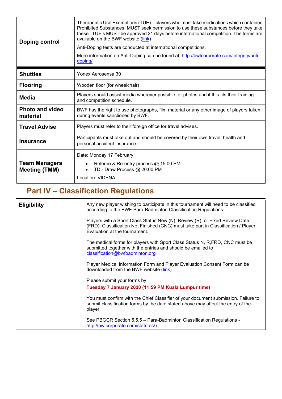| Doping control                               | Therapeutic Use Exemptions (TUE) – players who must take medications which contained<br>Prohibited Substances, MUST seek permission to use these substances before they take<br>these. TUE's MUST be approved 21 days before international competition. The forms are<br>available on the BWF website (link)<br>Anti-Doping tests are conducted at international competitions.<br>More information on Anti-Doping can be found at; http://bwfcorporate.com/integrity/anti-<br>doping/ |  |  |
|----------------------------------------------|---------------------------------------------------------------------------------------------------------------------------------------------------------------------------------------------------------------------------------------------------------------------------------------------------------------------------------------------------------------------------------------------------------------------------------------------------------------------------------------|--|--|
| <b>Shuttles</b>                              | Yonex Aerosensa 30                                                                                                                                                                                                                                                                                                                                                                                                                                                                    |  |  |
| <b>Flooring</b>                              | Wooden floor (for wheelchair)                                                                                                                                                                                                                                                                                                                                                                                                                                                         |  |  |
| <b>Media</b>                                 | Players should assist media wherever possible for photos and if this fits their training<br>and competition schedule.                                                                                                                                                                                                                                                                                                                                                                 |  |  |
| <b>Photo and video</b><br>material           | BWF has the right to use photographs, film material or any other image of players taken<br>during events sanctioned by BWF.                                                                                                                                                                                                                                                                                                                                                           |  |  |
| <b>Travel Advise</b>                         | Players must refer to their foreign office for travel advises.                                                                                                                                                                                                                                                                                                                                                                                                                        |  |  |
| <b>Insurance</b>                             | Participants must take out and should be covered by their own travel, health and<br>personal accident insurance.                                                                                                                                                                                                                                                                                                                                                                      |  |  |
| <b>Team Managers</b><br><b>Meeting (TMM)</b> | Date: Monday 17 February<br>Referee & Re-entry process @ 15:00 PM<br>TD - Draw Process @ 20:00 PM<br>Location: VIDENA                                                                                                                                                                                                                                                                                                                                                                 |  |  |

## **Part IV – Classification Regulations**

| <b>Eligibility</b> | Any new player wishing to participate in this tournament will need to be classified<br>according to the BWF Para-Badminton Classification Regulations.                                             |
|--------------------|----------------------------------------------------------------------------------------------------------------------------------------------------------------------------------------------------|
|                    | Players with a Sport Class Status New (N), Review (R), or Fixed Review Date<br>(FRD), Classification Not Finished (CNC) must take part in Classification / Player<br>Evaluation at the tournament. |
|                    | The medical forms for players with Sport Class Status N, R, FRD, CNC must be<br>submitted together with the entries and should be emailed to<br>classification@bwfbadminton.org                    |
|                    | Player Medical Information Form and Player Evaluation Consent Form can be<br>downloaded from the BWF website (link)                                                                                |
|                    | Please submit your forms by:                                                                                                                                                                       |
|                    | Tuesday 7 January 2020 (11:59 PM Kuala Lumpur time)                                                                                                                                                |
|                    | You must confirm with the Chief Classifier of your document submission. Failure to<br>submit classification forms by the date stated above may affect the entry of the<br>player.                  |
|                    | See PBGCR Section 5.5.5 - Para-Badminton Classification Regulations -<br>http://bwfcorporate.com/statutes/)                                                                                        |